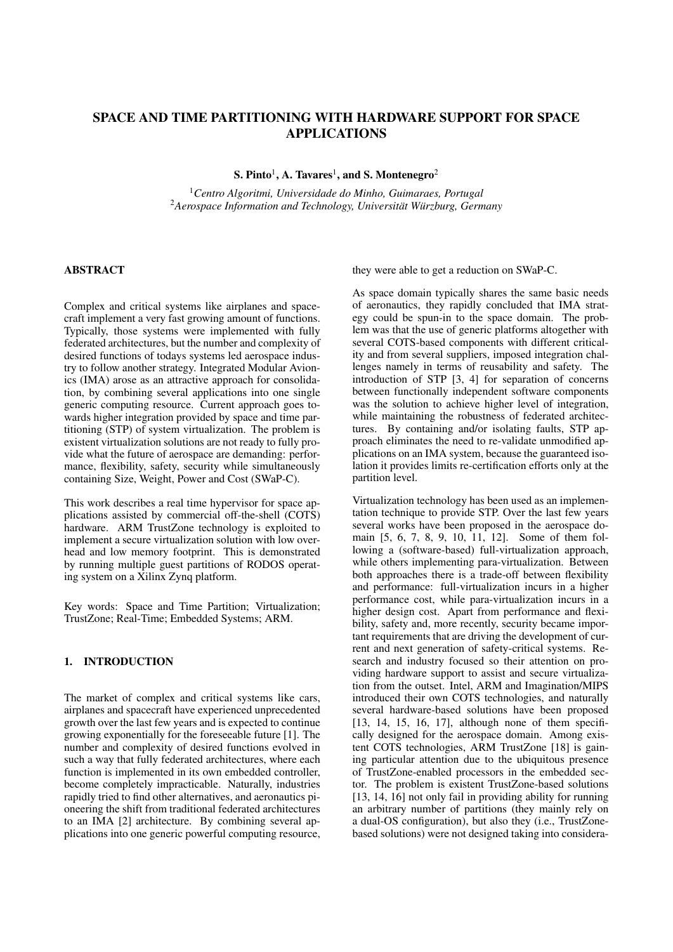# SPACE AND TIME PARTITIONING WITH HARDWARE SUPPORT FOR SPACE APPLICATIONS

S. Pinto<sup>1</sup>, A. Tavares<sup>1</sup>, and S. Montenegro<sup>2</sup>

<sup>1</sup>*Centro Algoritmi, Universidade do Minho, Guimaraes, Portugal* <sup>2</sup> Aerospace Information and Technology, Universität Würzburg, Germany

# ABSTRACT

Complex and critical systems like airplanes and spacecraft implement a very fast growing amount of functions. Typically, those systems were implemented with fully federated architectures, but the number and complexity of desired functions of todays systems led aerospace industry to follow another strategy. Integrated Modular Avionics (IMA) arose as an attractive approach for consolidation, by combining several applications into one single generic computing resource. Current approach goes towards higher integration provided by space and time partitioning (STP) of system virtualization. The problem is existent virtualization solutions are not ready to fully provide what the future of aerospace are demanding: performance, flexibility, safety, security while simultaneously containing Size, Weight, Power and Cost (SWaP-C).

This work describes a real time hypervisor for space applications assisted by commercial off-the-shell (COTS) hardware. ARM TrustZone technology is exploited to implement a secure virtualization solution with low overhead and low memory footprint. This is demonstrated by running multiple guest partitions of RODOS operating system on a Xilinx Zynq platform.

Key words: Space and Time Partition; Virtualization; TrustZone; Real-Time; Embedded Systems; ARM.

# 1. INTRODUCTION

The market of complex and critical systems like cars, airplanes and spacecraft have experienced unprecedented growth over the last few years and is expected to continue growing exponentially for the foreseeable future [1]. The number and complexity of desired functions evolved in such a way that fully federated architectures, where each function is implemented in its own embedded controller, become completely impracticable. Naturally, industries rapidly tried to find other alternatives, and aeronautics pioneering the shift from traditional federated architectures to an IMA [2] architecture. By combining several applications into one generic powerful computing resource, they were able to get a reduction on SWaP-C.

As space domain typically shares the same basic needs of aeronautics, they rapidly concluded that IMA strategy could be spun-in to the space domain. The problem was that the use of generic platforms altogether with several COTS-based components with different criticality and from several suppliers, imposed integration challenges namely in terms of reusability and safety. The introduction of STP [3, 4] for separation of concerns between functionally independent software components was the solution to achieve higher level of integration, while maintaining the robustness of federated architectures. By containing and/or isolating faults, STP approach eliminates the need to re-validate unmodified applications on an IMA system, because the guaranteed isolation it provides limits re-certification efforts only at the partition level.

Virtualization technology has been used as an implementation technique to provide STP. Over the last few years several works have been proposed in the aerospace domain [5, 6, 7, 8, 9, 10, 11, 12]. Some of them following a (software-based) full-virtualization approach, while others implementing para-virtualization. Between both approaches there is a trade-off between flexibility and performance: full-virtualization incurs in a higher performance cost, while para-virtualization incurs in a higher design cost. Apart from performance and flexibility, safety and, more recently, security became important requirements that are driving the development of current and next generation of safety-critical systems. Research and industry focused so their attention on providing hardware support to assist and secure virtualization from the outset. Intel, ARM and Imagination/MIPS introduced their own COTS technologies, and naturally several hardware-based solutions have been proposed [13, 14, 15, 16, 17], although none of them specifically designed for the aerospace domain. Among existent COTS technologies, ARM TrustZone [18] is gaining particular attention due to the ubiquitous presence of TrustZone-enabled processors in the embedded sector. The problem is existent TrustZone-based solutions [13, 14, 16] not only fail in providing ability for running an arbitrary number of partitions (they mainly rely on a dual-OS configuration), but also they (i.e., TrustZonebased solutions) were not designed taking into considera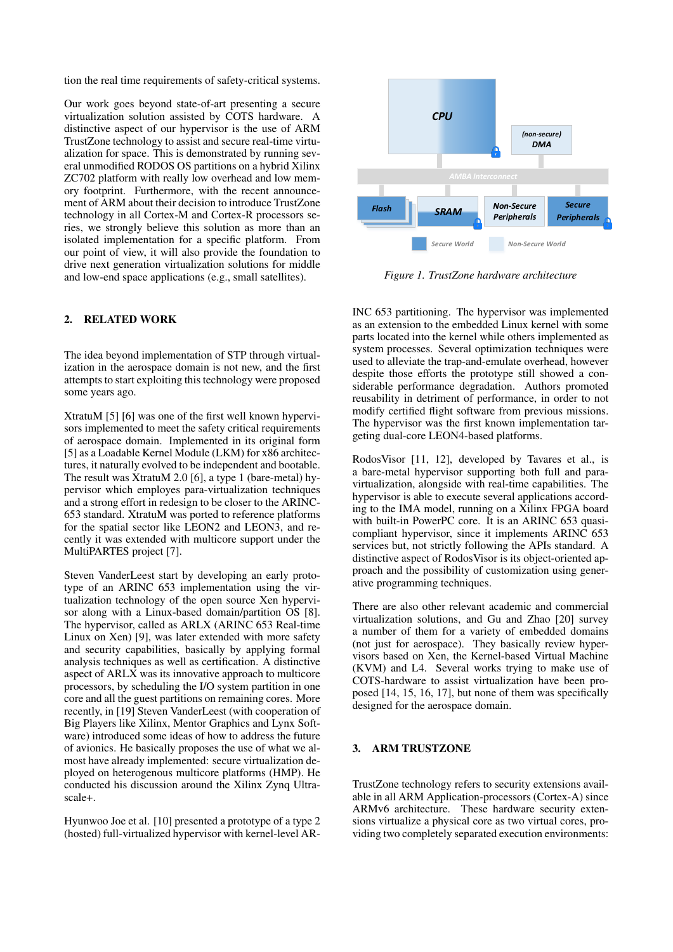tion the real time requirements of safety-critical systems.

Our work goes beyond state-of-art presenting a secure virtualization solution assisted by COTS hardware. A distinctive aspect of our hypervisor is the use of ARM TrustZone technology to assist and secure real-time virtualization for space. This is demonstrated by running several unmodified RODOS OS partitions on a hybrid Xilinx ZC702 platform with really low overhead and low memory footprint. Furthermore, with the recent announcement of ARM about their decision to introduce TrustZone technology in all Cortex-M and Cortex-R processors series, we strongly believe this solution as more than an isolated implementation for a specific platform. From our point of view, it will also provide the foundation to drive next generation virtualization solutions for middle and low-end space applications (e.g., small satellites).

# 2. RELATED WORK

The idea beyond implementation of STP through virtualization in the aerospace domain is not new, and the first attempts to start exploiting this technology were proposed some years ago.

XtratuM [5] [6] was one of the first well known hypervisors implemented to meet the safety critical requirements of aerospace domain. Implemented in its original form [5] as a Loadable Kernel Module (LKM) for x86 architectures, it naturally evolved to be independent and bootable. The result was XtratuM 2.0 [6], a type 1 (bare-metal) hypervisor which employes para-virtualization techniques and a strong effort in redesign to be closer to the ARINC-653 standard. XtratuM was ported to reference platforms for the spatial sector like LEON2 and LEON3, and recently it was extended with multicore support under the MultiPARTES project [7].

Steven VanderLeest start by developing an early prototype of an ARINC 653 implementation using the virtualization technology of the open source Xen hypervisor along with a Linux-based domain/partition OS [8]. The hypervisor, called as ARLX (ARINC 653 Real-time Linux on Xen) [9], was later extended with more safety and security capabilities, basically by applying formal analysis techniques as well as certification. A distinctive aspect of ARLX was its innovative approach to multicore processors, by scheduling the I/O system partition in one core and all the guest partitions on remaining cores. More recently, in [19] Steven VanderLeest (with cooperation of Big Players like Xilinx, Mentor Graphics and Lynx Software) introduced some ideas of how to address the future of avionics. He basically proposes the use of what we almost have already implemented: secure virtualization deployed on heterogenous multicore platforms (HMP). He conducted his discussion around the Xilinx Zynq Ultrascale+.

Hyunwoo Joe et al. [10] presented a prototype of a type 2 (hosted) full-virtualized hypervisor with kernel-level AR-



*Figure 1. TrustZone hardware architecture*

INC 653 partitioning. The hypervisor was implemented as an extension to the embedded Linux kernel with some parts located into the kernel while others implemented as system processes. Several optimization techniques were used to alleviate the trap-and-emulate overhead, however despite those efforts the prototype still showed a considerable performance degradation. Authors promoted reusability in detriment of performance, in order to not modify certified flight software from previous missions. The hypervisor was the first known implementation targeting dual-core LEON4-based platforms.

RodosVisor [11, 12], developed by Tavares et al., is a bare-metal hypervisor supporting both full and paravirtualization, alongside with real-time capabilities. The hypervisor is able to execute several applications according to the IMA model, running on a Xilinx FPGA board with built-in PowerPC core. It is an ARINC 653 quasicompliant hypervisor, since it implements ARINC 653 services but, not strictly following the APIs standard. A distinctive aspect of RodosVisor is its object-oriented approach and the possibility of customization using generative programming techniques.

There are also other relevant academic and commercial virtualization solutions, and Gu and Zhao [20] survey a number of them for a variety of embedded domains (not just for aerospace). They basically review hypervisors based on Xen, the Kernel-based Virtual Machine (KVM) and L4. Several works trying to make use of COTS-hardware to assist virtualization have been proposed [14, 15, 16, 17], but none of them was specifically designed for the aerospace domain.

### 3. ARM TRUSTZONE

TrustZone technology refers to security extensions available in all ARM Application-processors (Cortex-A) since ARMv6 architecture. These hardware security extensions virtualize a physical core as two virtual cores, providing two completely separated execution environments: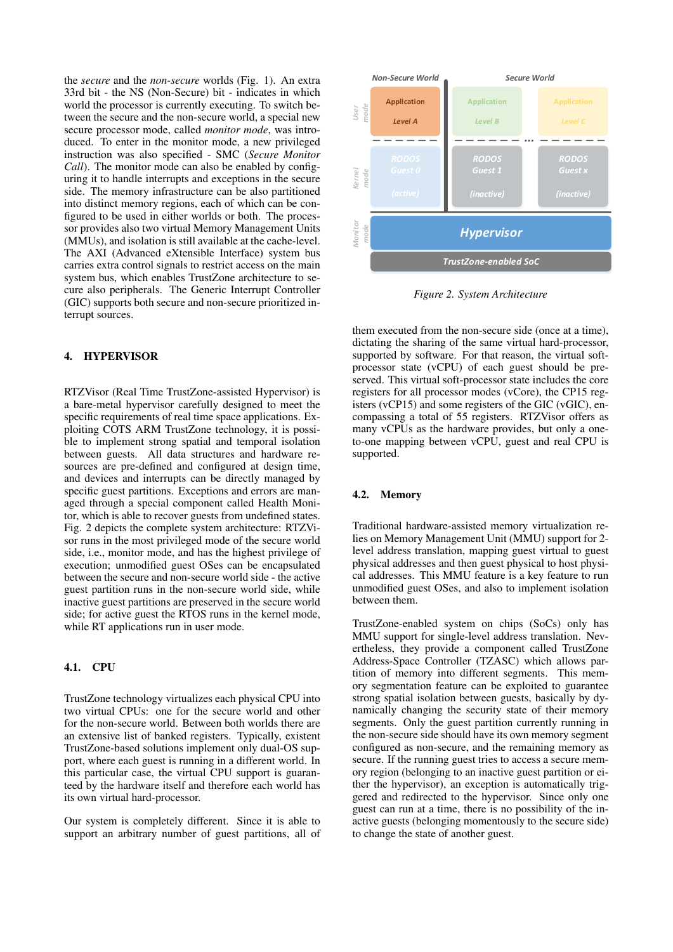the *secure* and the *non-secure* worlds (Fig. 1). An extra 33rd bit - the NS (Non-Secure) bit - indicates in which world the processor is currently executing. To switch between the secure and the non-secure world, a special new secure processor mode, called *monitor mode*, was introduced. To enter in the monitor mode, a new privileged instruction was also specified - SMC (*Secure Monitor Call*). The monitor mode can also be enabled by configuring it to handle interrupts and exceptions in the secure side. The memory infrastructure can be also partitioned into distinct memory regions, each of which can be configured to be used in either worlds or both. The processor provides also two virtual Memory Management Units (MMUs), and isolation is still available at the cache-level. The AXI (Advanced eXtensible Interface) system bus carries extra control signals to restrict access on the main system bus, which enables TrustZone architecture to secure also peripherals. The Generic Interrupt Controller (GIC) supports both secure and non-secure prioritized interrupt sources.

# 4. HYPERVISOR

RTZVisor (Real Time TrustZone-assisted Hypervisor) is a bare-metal hypervisor carefully designed to meet the specific requirements of real time space applications. Exploiting COTS ARM TrustZone technology, it is possible to implement strong spatial and temporal isolation between guests. All data structures and hardware resources are pre-defined and configured at design time, and devices and interrupts can be directly managed by specific guest partitions. Exceptions and errors are managed through a special component called Health Monitor, which is able to recover guests from undefined states. Fig. 2 depicts the complete system architecture: RTZVisor runs in the most privileged mode of the secure world side, i.e., monitor mode, and has the highest privilege of execution; unmodified guest OSes can be encapsulated between the secure and non-secure world side - the active guest partition runs in the non-secure world side, while inactive guest partitions are preserved in the secure world side; for active guest the RTOS runs in the kernel mode, while RT applications run in user mode.

## 4.1. CPU

TrustZone technology virtualizes each physical CPU into two virtual CPUs: one for the secure world and other for the non-secure world. Between both worlds there are an extensive list of banked registers. Typically, existent TrustZone-based solutions implement only dual-OS support, where each guest is running in a different world. In this particular case, the virtual CPU support is guaranteed by the hardware itself and therefore each world has its own virtual hard-processor.

Our system is completely different. Since it is able to support an arbitrary number of guest partitions, all of



*Figure 2. System Architecture*

them executed from the non-secure side (once at a time), dictating the sharing of the same virtual hard-processor, supported by software. For that reason, the virtual softprocessor state (vCPU) of each guest should be preserved. This virtual soft-processor state includes the core registers for all processor modes (vCore), the CP15 registers (vCP15) and some registers of the GIC (vGIC), encompassing a total of 55 registers. RTZVisor offers as many vCPUs as the hardware provides, but only a oneto-one mapping between vCPU, guest and real CPU is supported.

### 4.2. Memory

Traditional hardware-assisted memory virtualization relies on Memory Management Unit (MMU) support for 2 level address translation, mapping guest virtual to guest physical addresses and then guest physical to host physical addresses. This MMU feature is a key feature to run unmodified guest OSes, and also to implement isolation between them.

TrustZone-enabled system on chips (SoCs) only has MMU support for single-level address translation. Nevertheless, they provide a component called TrustZone Address-Space Controller (TZASC) which allows partition of memory into different segments. This memory segmentation feature can be exploited to guarantee strong spatial isolation between guests, basically by dynamically changing the security state of their memory segments. Only the guest partition currently running in the non-secure side should have its own memory segment configured as non-secure, and the remaining memory as secure. If the running guest tries to access a secure memory region (belonging to an inactive guest partition or either the hypervisor), an exception is automatically triggered and redirected to the hypervisor. Since only one guest can run at a time, there is no possibility of the inactive guests (belonging momentously to the secure side) to change the state of another guest.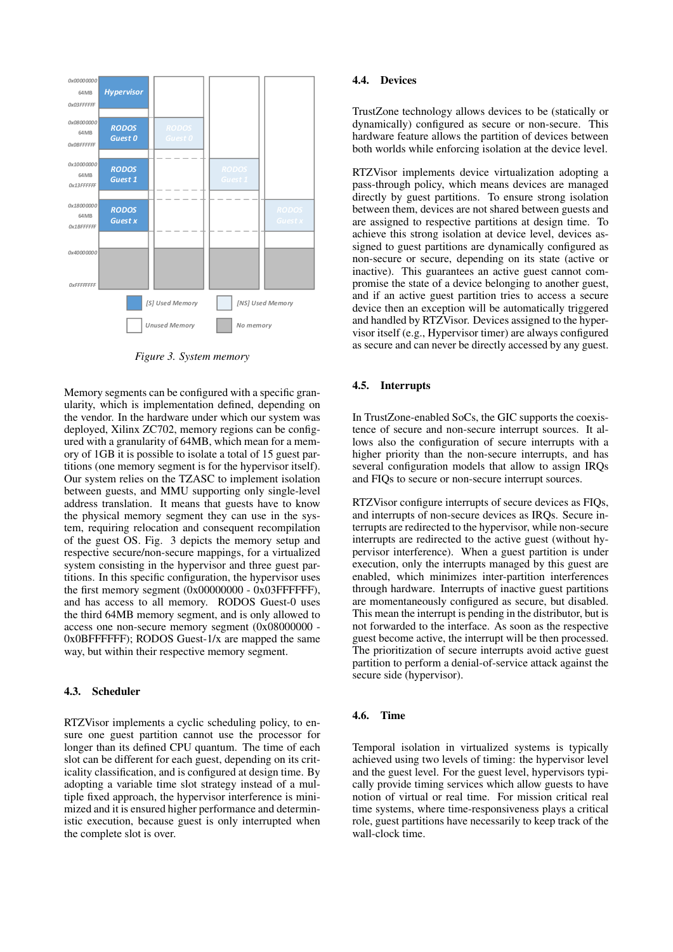

*Figure 3. System memory*

Memory segments can be configured with a specific granularity, which is implementation defined, depending on the vendor. In the hardware under which our system was deployed, Xilinx ZC702, memory regions can be configured with a granularity of 64MB, which mean for a memory of 1GB it is possible to isolate a total of 15 guest partitions (one memory segment is for the hypervisor itself). Our system relies on the TZASC to implement isolation between guests, and MMU supporting only single-level address translation. It means that guests have to know the physical memory segment they can use in the system, requiring relocation and consequent recompilation of the guest OS. Fig. 3 depicts the memory setup and respective secure/non-secure mappings, for a virtualized system consisting in the hypervisor and three guest partitions. In this specific configuration, the hypervisor uses the first memory segment  $(0x00000000 - 0x03$ FFFFFFF), and has access to all memory. RODOS Guest-0 uses the third 64MB memory segment, and is only allowed to access one non-secure memory segment (0x08000000 - 0x0BFFFFFF); RODOS Guest-1/x are mapped the same way, but within their respective memory segment.

### 4.3. Scheduler

RTZVisor implements a cyclic scheduling policy, to ensure one guest partition cannot use the processor for longer than its defined CPU quantum. The time of each slot can be different for each guest, depending on its criticality classification, and is configured at design time. By adopting a variable time slot strategy instead of a multiple fixed approach, the hypervisor interference is minimized and it is ensured higher performance and deterministic execution, because guest is only interrupted when the complete slot is over.

## 4.4. Devices

TrustZone technology allows devices to be (statically or dynamically) configured as secure or non-secure. This hardware feature allows the partition of devices between both worlds while enforcing isolation at the device level.

RTZVisor implements device virtualization adopting a pass-through policy, which means devices are managed directly by guest partitions. To ensure strong isolation between them, devices are not shared between guests and are assigned to respective partitions at design time. To achieve this strong isolation at device level, devices assigned to guest partitions are dynamically configured as non-secure or secure, depending on its state (active or inactive). This guarantees an active guest cannot compromise the state of a device belonging to another guest, and if an active guest partition tries to access a secure device then an exception will be automatically triggered and handled by RTZVisor. Devices assigned to the hypervisor itself (e.g., Hypervisor timer) are always configured as secure and can never be directly accessed by any guest.

#### 4.5. Interrupts

In TrustZone-enabled SoCs, the GIC supports the coexistence of secure and non-secure interrupt sources. It allows also the configuration of secure interrupts with a higher priority than the non-secure interrupts, and has several configuration models that allow to assign IRQs and FIQs to secure or non-secure interrupt sources.

RTZVisor configure interrupts of secure devices as FIQs, and interrupts of non-secure devices as IRQs. Secure interrupts are redirected to the hypervisor, while non-secure interrupts are redirected to the active guest (without hypervisor interference). When a guest partition is under execution, only the interrupts managed by this guest are enabled, which minimizes inter-partition interferences through hardware. Interrupts of inactive guest partitions are momentaneously configured as secure, but disabled. This mean the interrupt is pending in the distributor, but is not forwarded to the interface. As soon as the respective guest become active, the interrupt will be then processed. The prioritization of secure interrupts avoid active guest partition to perform a denial-of-service attack against the secure side (hypervisor).

#### 4.6. Time

Temporal isolation in virtualized systems is typically achieved using two levels of timing: the hypervisor level and the guest level. For the guest level, hypervisors typically provide timing services which allow guests to have notion of virtual or real time. For mission critical real time systems, where time-responsiveness plays a critical role, guest partitions have necessarily to keep track of the wall-clock time.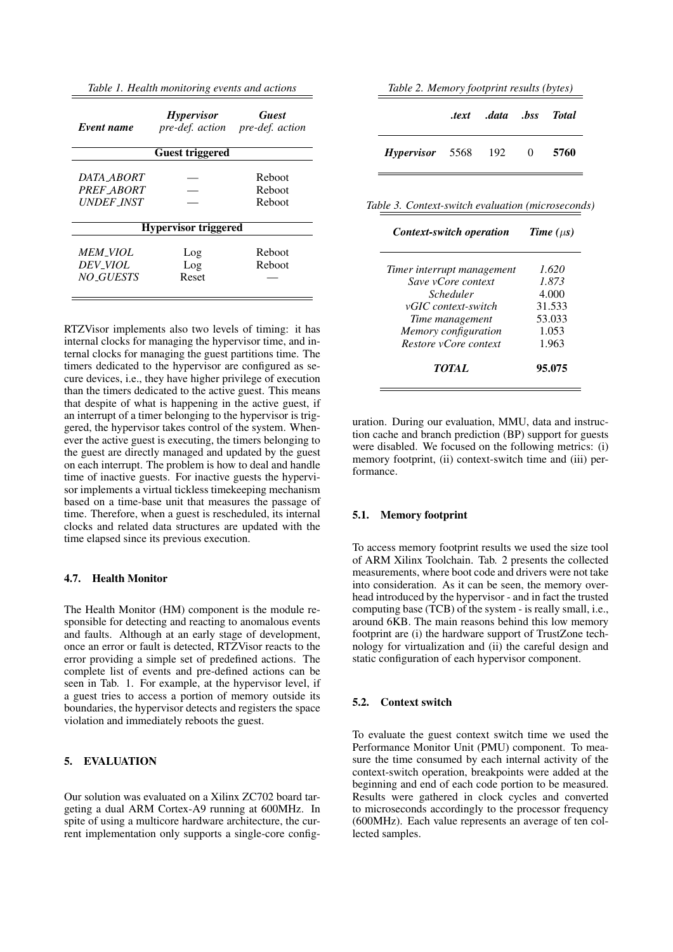*Table 1. Health monitoring events and actions*

| Event name        | <i>Hypervisor</i><br>pre-def. action | <b>Guest</b><br>pre-def. action |  |
|-------------------|--------------------------------------|---------------------------------|--|
|                   | Guest triggered                      |                                 |  |
| DATA ABORT        |                                      | Reboot                          |  |
| PREF ABORT        |                                      | Reboot                          |  |
| <i>UNDEF INST</i> |                                      | Reboot                          |  |
|                   | <b>Hypervisor triggered</b>          |                                 |  |
| MEM VIOL          | Log                                  | Reboot                          |  |
| <b>DEV_VIOL</b>   | Log                                  | Reboot                          |  |
| NO GUESTS         | Reset                                |                                 |  |
|                   |                                      |                                 |  |

RTZVisor implements also two levels of timing: it has internal clocks for managing the hypervisor time, and internal clocks for managing the guest partitions time. The timers dedicated to the hypervisor are configured as secure devices, i.e., they have higher privilege of execution than the timers dedicated to the active guest. This means that despite of what is happening in the active guest, if an interrupt of a timer belonging to the hypervisor is triggered, the hypervisor takes control of the system. Whenever the active guest is executing, the timers belonging to the guest are directly managed and updated by the guest on each interrupt. The problem is how to deal and handle time of inactive guests. For inactive guests the hypervisor implements a virtual tickless timekeeping mechanism based on a time-base unit that measures the passage of time. Therefore, when a guest is rescheduled, its internal clocks and related data structures are updated with the time elapsed since its previous execution.

## 4.7. Health Monitor

The Health Monitor (HM) component is the module responsible for detecting and reacting to anomalous events and faults. Although at an early stage of development, once an error or fault is detected, RTZVisor reacts to the error providing a simple set of predefined actions. The complete list of events and pre-defined actions can be seen in Tab. 1. For example, at the hypervisor level, if a guest tries to access a portion of memory outside its boundaries, the hypervisor detects and registers the space violation and immediately reboots the guest.

# 5. EVALUATION

Our solution was evaluated on a Xilinx ZC702 board targeting a dual ARM Cortex-A9 running at 600MHz. In spite of using a multicore hardware architecture, the current implementation only supports a single-core config-

|  |  |  | Table 2. Memory footprint results (bytes) |  |  |
|--|--|--|-------------------------------------------|--|--|
|--|--|--|-------------------------------------------|--|--|

|                              | text data bss Total. |       |
|------------------------------|----------------------|-------|
| <i>Hypervisor</i> 5568 192 0 |                      | -5760 |

*Table 3. Context-switch evaluation (microseconds)*

| Context-switch operation   | Time $(\mu s)$ |  |
|----------------------------|----------------|--|
|                            |                |  |
| Timer interrupt management | 1.620          |  |
| Save vCore context         | 1.873          |  |
| Scheduler                  | 4.000          |  |
| vGIC context-switch        | 31.533         |  |
| Time management            | 53.033         |  |
| Memory configuration       | 1.053          |  |
| Restore vCore context      | 1.963          |  |
| <i>TOTAL</i>               | 95.075         |  |

uration. During our evaluation, MMU, data and instruction cache and branch prediction (BP) support for guests were disabled. We focused on the following metrics: (i) memory footprint, (ii) context-switch time and (iii) performance.

### 5.1. Memory footprint

To access memory footprint results we used the size tool of ARM Xilinx Toolchain. Tab. 2 presents the collected measurements, where boot code and drivers were not take into consideration. As it can be seen, the memory overhead introduced by the hypervisor - and in fact the trusted computing base (TCB) of the system - is really small, i.e., around 6KB. The main reasons behind this low memory footprint are (i) the hardware support of TrustZone technology for virtualization and (ii) the careful design and static configuration of each hypervisor component.

### 5.2. Context switch

To evaluate the guest context switch time we used the Performance Monitor Unit (PMU) component. To measure the time consumed by each internal activity of the context-switch operation, breakpoints were added at the beginning and end of each code portion to be measured. Results were gathered in clock cycles and converted to microseconds accordingly to the processor frequency (600MHz). Each value represents an average of ten collected samples.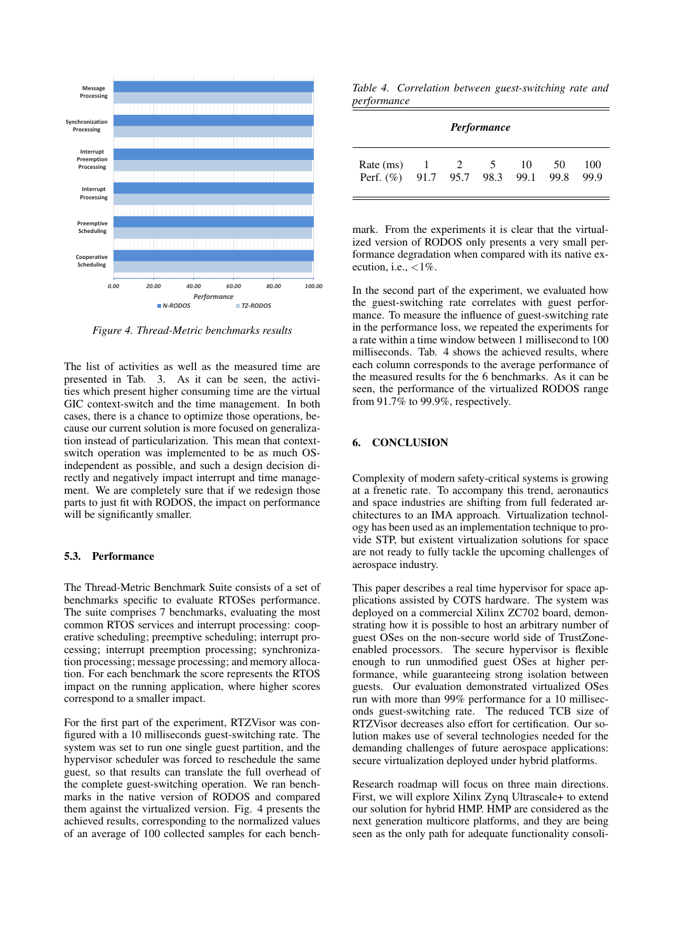

*Figure 4. Thread-Metric benchmarks results*

The list of activities as well as the measured time are presented in Tab. 3. As it can be seen, the activities which present higher consuming time are the virtual GIC context-switch and the time management. In both cases, there is a chance to optimize those operations, because our current solution is more focused on generalization instead of particularization. This mean that contextswitch operation was implemented to be as much OSindependent as possible, and such a design decision directly and negatively impact interrupt and time management. We are completely sure that if we redesign those parts to just fit with RODOS, the impact on performance will be significantly smaller.

### 5.3. Performance

The Thread-Metric Benchmark Suite consists of a set of benchmarks specific to evaluate RTOSes performance. The suite comprises 7 benchmarks, evaluating the most common RTOS services and interrupt processing: cooperative scheduling; preemptive scheduling; interrupt processing; interrupt preemption processing; synchronization processing; message processing; and memory allocation. For each benchmark the score represents the RTOS impact on the running application, where higher scores correspond to a smaller impact.

For the first part of the experiment, RTZVisor was configured with a 10 milliseconds guest-switching rate. The system was set to run one single guest partition, and the hypervisor scheduler was forced to reschedule the same guest, so that results can translate the full overhead of the complete guest-switching operation. We ran benchmarks in the native version of RODOS and compared them against the virtualized version. Fig. 4 presents the achieved results, corresponding to the normalized values of an average of 100 collected samples for each bench-

*Table 4. Correlation between guest-switching rate and performance*

| <b>Performance</b>                              |             |  |                |    |    |             |
|-------------------------------------------------|-------------|--|----------------|----|----|-------------|
| Rate (ms)<br>Perf. (%) 91.7 95.7 98.3 99.1 99.8 | $1 \quad 2$ |  | 5 <sup>5</sup> | 10 | 50 | 100<br>99.9 |

mark. From the experiments it is clear that the virtualized version of RODOS only presents a very small performance degradation when compared with its native execution, i.e.,  $\langle 1\% \rangle$ .

In the second part of the experiment, we evaluated how the guest-switching rate correlates with guest performance. To measure the influence of guest-switching rate in the performance loss, we repeated the experiments for a rate within a time window between 1 millisecond to 100 milliseconds. Tab. 4 shows the achieved results, where each column corresponds to the average performance of the measured results for the 6 benchmarks. As it can be seen, the performance of the virtualized RODOS range from 91.7% to 99.9%, respectively.

### 6. CONCLUSION

Complexity of modern safety-critical systems is growing at a frenetic rate. To accompany this trend, aeronautics and space industries are shifting from full federated architectures to an IMA approach. Virtualization technology has been used as an implementation technique to provide STP, but existent virtualization solutions for space are not ready to fully tackle the upcoming challenges of aerospace industry.

This paper describes a real time hypervisor for space applications assisted by COTS hardware. The system was deployed on a commercial Xilinx ZC702 board, demonstrating how it is possible to host an arbitrary number of guest OSes on the non-secure world side of TrustZoneenabled processors. The secure hypervisor is flexible enough to run unmodified guest OSes at higher performance, while guaranteeing strong isolation between guests. Our evaluation demonstrated virtualized OSes run with more than 99% performance for a 10 milliseconds guest-switching rate. The reduced TCB size of RTZVisor decreases also effort for certification. Our solution makes use of several technologies needed for the demanding challenges of future aerospace applications: secure virtualization deployed under hybrid platforms.

Research roadmap will focus on three main directions. First, we will explore Xilinx Zynq Ultrascale+ to extend our solution for hybrid HMP. HMP are considered as the next generation multicore platforms, and they are being seen as the only path for adequate functionality consoli